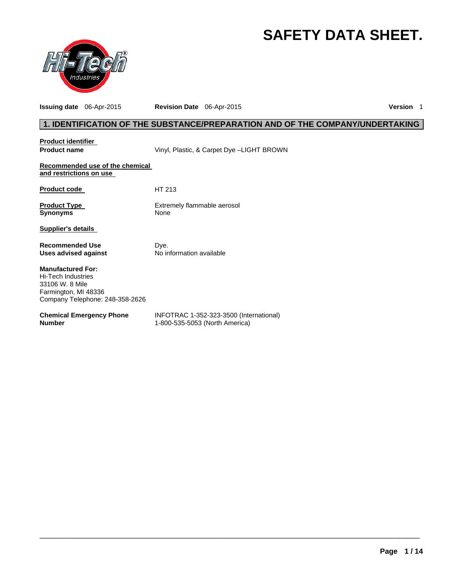# **SAFETY DATA SHEET.**



**Issuing date** 06-Apr-2015 **Revision Date** 06-Apr-2015 **Version** 1

# **1. IDENTIFICATION OF THE SUBSTANCE/PREPARATION AND OF THE COMPANY/UNDERTAKING**

| <b>Product identifier</b><br><b>Product name</b>                                                                             | Vinyl, Plastic, & Carpet Dye -LIGHT BROWN                                 |
|------------------------------------------------------------------------------------------------------------------------------|---------------------------------------------------------------------------|
| Recommended use of the chemical<br>and restrictions on use                                                                   |                                                                           |
| <b>Product code</b>                                                                                                          | HT 213                                                                    |
| <b>Product Type</b><br><b>Synonyms</b>                                                                                       | Extremely flammable aerosol<br>None                                       |
| Supplier's details                                                                                                           |                                                                           |
| <b>Recommended Use</b><br>Uses advised against                                                                               | Dye.<br>No information available                                          |
| <b>Manufactured For:</b><br>Hi-Tech Industries<br>33106 W. 8 Mile<br>Farmington, MI 48336<br>Company Telephone: 248-358-2626 |                                                                           |
| <b>Chemical Emergency Phone</b><br><b>Number</b>                                                                             | INFOTRAC 1-352-323-3500 (International)<br>1-800-535-5053 (North America) |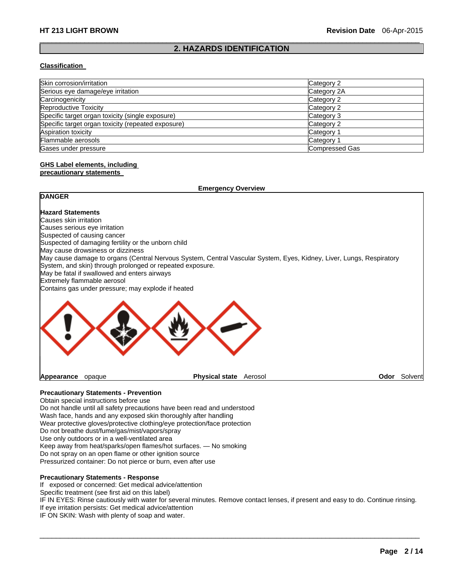### $\Box$ **2. HAZARDS IDENTIFICATION**

#### **Classification**

| Skin corrosion/irritation                          | Category 2            |
|----------------------------------------------------|-----------------------|
| Serious eye damage/eye irritation                  | Category 2A           |
| Carcinogenicity                                    | Category 2            |
| Reproductive Toxicity                              | Category 2            |
| Specific target organ toxicity (single exposure)   | Category 3            |
| Specific target organ toxicity (repeated exposure) | Category 2            |
| Aspiration toxicity                                | Category 1            |
| Flammable aerosols                                 | Category 1            |
| Gases under pressure                               | <b>Compressed Gas</b> |

# **GHS Label elements, including**

### **precautionary statements**

| <b>Emergency Overview</b>                                 |                                                                                                                      |      |         |
|-----------------------------------------------------------|----------------------------------------------------------------------------------------------------------------------|------|---------|
| <b>DANGER</b>                                             |                                                                                                                      |      |         |
| <b>Hazard Statements</b>                                  |                                                                                                                      |      |         |
| Causes skin irritation                                    |                                                                                                                      |      |         |
| Causes serious eye irritation                             |                                                                                                                      |      |         |
| Suspected of causing cancer                               |                                                                                                                      |      |         |
| Suspected of damaging fertility or the unborn child       |                                                                                                                      |      |         |
| May cause drowsiness or dizziness                         |                                                                                                                      |      |         |
| System, and skin) through prolonged or repeated exposure. | May cause damage to organs (Central Nervous System, Central Vascular System, Eyes, Kidney, Liver, Lungs, Respiratory |      |         |
| May be fatal if swallowed and enters airways              |                                                                                                                      |      |         |
| Extremely flammable aerosol                               |                                                                                                                      |      |         |
| Contains gas under pressure; may explode if heated        |                                                                                                                      |      |         |
|                                                           |                                                                                                                      |      |         |
| Appearance<br>opaque                                      | <b>Physical state</b><br>Aerosol                                                                                     | Odor | Solvent |

### **Precautionary Statements - Prevention**

Obtain special instructions before use Do not handle until all safety precautions have been read and understood Wash face, hands and any exposed skin thoroughly after handling Wear protective gloves/protective clothing/eye protection/face protection Do not breathe dust/fume/gas/mist/vapors/spray Use only outdoors or in a well-ventilated area Keep away from heat/sparks/open flames/hot surfaces. — No smoking Do not spray on an open flame or other ignition source

Pressurized container: Do not pierce or burn, even after use

### **Precautionary Statements - Response**

If exposed or concerned: Get medical advice/attention

Specific treatment (see first aid on this label)

IF IN EYES: Rinse cautiously with water for several minutes. Remove contact lenses, if present and easy to do. Continue rinsing. If eye irritation persists: Get medical advice/attention

 $\Box$ 

IF ON SKIN: Wash with plenty of soap and water.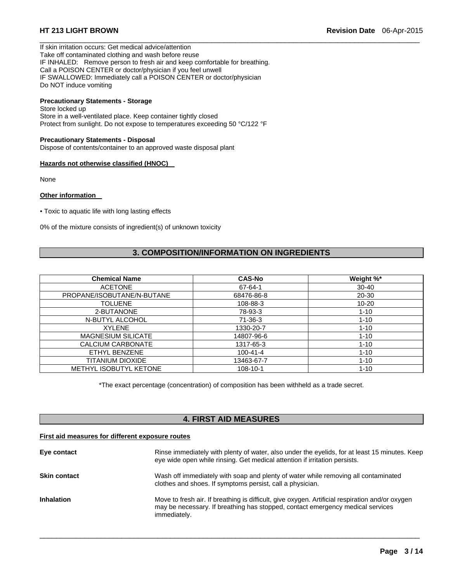If skin irritation occurs: Get medical advice/attention Take off contaminated clothing and wash before reuse IF INHALED: Remove person to fresh air and keep comfortable for breathing. Call a POISON CENTER or doctor/physician if you feel unwell IF SWALLOWED: Immediately call a POISON CENTER or doctor/physician Do NOT induce vomiting

# **Precautionary Statements - Storage**

Store locked up Store in a well-ventilated place. Keep container tightly closed Protect from sunlight. Do not expose to temperatures exceeding 50 °C/122 °F

#### **Precautionary Statements - Disposal**

Dispose of contents/container to an approved waste disposal plant

#### **Hazards not otherwise classified (HNOC)**

None

#### **Other information**

• Toxic to aquatic life with long lasting effects

0% of the mixture consists of ingredient(s) of unknown toxicity

# **3. COMPOSITION/INFORMATION ON INGREDIENTS**

 $\Box$ 

| <b>Chemical Name</b>          | <b>CAS-No</b>  | Weight %* |
|-------------------------------|----------------|-----------|
| <b>ACETONE</b>                | 67-64-1        | $30 - 40$ |
| PROPANE/ISOBUTANE/N-BUTANE    | 68476-86-8     | $20 - 30$ |
| <b>TOLUENE</b>                | 108-88-3       | $10 - 20$ |
| 2-BUTANONE                    | 78-93-3        | $1 - 10$  |
| N-BUTYL ALCOHOL               | $71-36-3$      | $1 - 10$  |
| <b>XYLENE</b>                 | 1330-20-7      | $1 - 10$  |
| <b>MAGNESIUM SILICATE</b>     | 14807-96-6     | $1 - 10$  |
| CALCIUM CARBONATE             | 1317-65-3      | $1 - 10$  |
| ETHYL BENZENE                 | $100 - 41 - 4$ | $1 - 10$  |
| TITANIUM DIOXIDE              | 13463-67-7     | $1 - 10$  |
| <b>METHYL ISOBUTYL KETONE</b> | $108 - 10 - 1$ | $1 - 10$  |

\*The exact percentage (concentration) of composition has been withheld as a trade secret.

# **4. FIRST AID MEASURES**

#### **First aid measures for different exposure routes**

| Eye contact         | Rinse immediately with plenty of water, also under the eyelids, for at least 15 minutes. Keep<br>eye wide open while rinsing. Get medical attention if irritation persists.                       |
|---------------------|---------------------------------------------------------------------------------------------------------------------------------------------------------------------------------------------------|
| <b>Skin contact</b> | Wash off immediately with soap and plenty of water while removing all contaminated<br>clothes and shoes. If symptoms persist, call a physician.                                                   |
| <b>Inhalation</b>   | Move to fresh air. If breathing is difficult, give oxygen. Artificial respiration and/or oxygen<br>may be necessary. If breathing has stopped, contact emergency medical services<br>immediately. |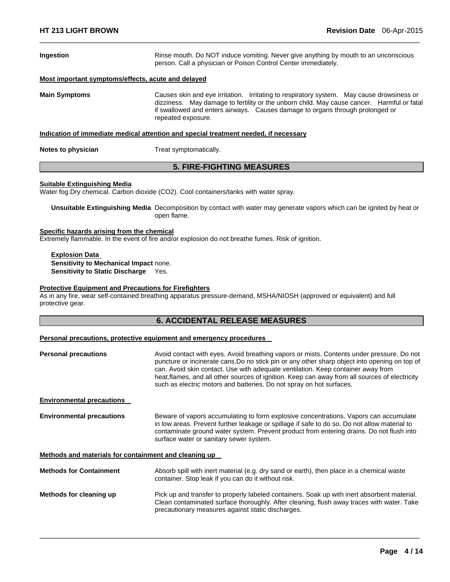| Ingestion                                                                            | Rinse mouth. Do NOT induce vomiting. Never give anything by mouth to an unconscious<br>person. Call a physician or Poison Control Center immediately.                                                                                                                                          |  |
|--------------------------------------------------------------------------------------|------------------------------------------------------------------------------------------------------------------------------------------------------------------------------------------------------------------------------------------------------------------------------------------------|--|
| Most important symptoms/effects, acute and delayed                                   |                                                                                                                                                                                                                                                                                                |  |
| <b>Main Symptoms</b>                                                                 | Causes skin and eye irritation. Irritating to respiratory system. May cause drowsiness or<br>dizziness. May damage to fertility or the unborn child. May cause cancer. Harmful or fatal<br>if swallowed and enters airways. Causes damage to organs through prolonged or<br>repeated exposure. |  |
| Indication of immediate medical attention and special treatment needed, if necessary |                                                                                                                                                                                                                                                                                                |  |
| Notes to physician                                                                   | Treat symptomatically.                                                                                                                                                                                                                                                                         |  |
| <b>5. FIRE-FIGHTING MEASURES</b>                                                     |                                                                                                                                                                                                                                                                                                |  |

 $\Box$ 

# **Suitable Extinguishing Media**

Water fog.Dry chemical. Carbon dioxide (CO2). Cool containers/tanks with water spray.

**Unsuitable Extinguishing Media** Decomposition by contact with water may generate vapors which can be ignited by heat or open flame.

# **Specific hazards arising from the chemical**

Extremely flammable. In the event of fire and/or explosion do not breathe fumes. Risk of ignition.

**Explosion Data Sensitivity to Mechanical Impact** none. **Sensitivity to Static Discharge** Yes.

#### **Protective Equipment and Precautions for Firefighters**

As in any fire, wear self-contained breathing apparatus pressure-demand, MSHA/NIOSH (approved or equivalent) and full protective gear.

# **6. ACCIDENTAL RELEASE MEASURES**

#### **Personal precautions, protective equipment and emergency procedures**

| <b>Personal precautions</b>                           | Avoid contact with eyes. Avoid breathing vapors or mists. Contents under pressure. Do not<br>puncture or incinerate cans. Do no stick pin or any other sharp object into opening on top of<br>can. Avoid skin contact. Use with adequate ventilation. Keep container away from<br>heat, flames, and all other sources of ignition. Keep can away from all sources of electricity<br>such as electric motors and batteries. Do not spray on hot surfaces. |
|-------------------------------------------------------|----------------------------------------------------------------------------------------------------------------------------------------------------------------------------------------------------------------------------------------------------------------------------------------------------------------------------------------------------------------------------------------------------------------------------------------------------------|
| <b>Environmental precautions</b>                      |                                                                                                                                                                                                                                                                                                                                                                                                                                                          |
| <b>Environmental precautions</b>                      | Beware of vapors accumulating to form explosive concentrations. Vapors can accumulate<br>in low areas. Prevent further leakage or spillage if safe to do so. Do not allow material to<br>contaminate ground water system. Prevent product from entering drains. Do not flush into<br>surface water or sanitary sewer system.                                                                                                                             |
| Methods and materials for containment and cleaning up |                                                                                                                                                                                                                                                                                                                                                                                                                                                          |
| <b>Methods for Containment</b>                        | Absorb spill with inert material (e.g. dry sand or earth), then place in a chemical waste<br>container. Stop leak if you can do it without risk.                                                                                                                                                                                                                                                                                                         |
| Methods for cleaning up                               | Pick up and transfer to properly labeled containers. Soak up with inert absorbent material.<br>Clean contaminated surface thoroughly. After cleaning, flush away traces with water. Take<br>precautionary measures against static discharges.                                                                                                                                                                                                            |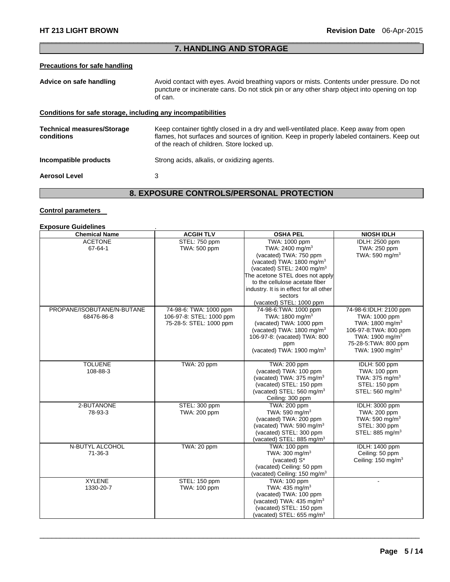### $\Box$ **7. HANDLING AND STORAGE**

# **Precautions for safe handling**

| Advice on safe handling                                      | Avoid contact with eyes. Avoid breathing vapors or mists. Contents under pressure. Do not<br>puncture or incinerate cans. Do not stick pin or any other sharp object into opening on top<br>of can.                                |
|--------------------------------------------------------------|------------------------------------------------------------------------------------------------------------------------------------------------------------------------------------------------------------------------------------|
| Conditions for safe storage, including any incompatibilities |                                                                                                                                                                                                                                    |
| <b>Technical measures/Storage</b><br>conditions              | Keep container tightly closed in a dry and well-ventilated place. Keep away from open<br>flames, hot surfaces and sources of ignition. Keep in properly labeled containers. Keep out<br>of the reach of children. Store locked up. |
| Incompatible products                                        | Strong acids, alkalis, or oxidizing agents.                                                                                                                                                                                        |
| <b>Aerosol Level</b>                                         | 3                                                                                                                                                                                                                                  |

# **8. EXPOSURE CONTROLS/PERSONAL PROTECTION**

# **Control parameters**

# **Exposure Guidelines** .

| <b>Chemical Name</b>       | <b>ACGIH TLV</b>         | <b>OSHA PEL</b>                          | <b>NIOSH IDLH</b>              |
|----------------------------|--------------------------|------------------------------------------|--------------------------------|
| <b>ACETONE</b>             | STEL: 750 ppm            | TWA: 1000 ppm                            | IDLH: 2500 ppm                 |
| $67 - 64 - 1$              | TWA: 500 ppm             | TWA: 2400 mg/m <sup>3</sup>              | TWA: 250 ppm                   |
|                            |                          | (vacated) TWA: 750 ppm                   | TWA: 590 mg/m <sup>3</sup>     |
|                            |                          | (vacated) TWA: 1800 mg/m <sup>3</sup>    |                                |
|                            |                          | (vacated) STEL: 2400 mg/m <sup>3</sup>   |                                |
|                            |                          | The acetone STEL does not apply          |                                |
|                            |                          | to the cellulose acetate fiber           |                                |
|                            |                          | industry. It is in effect for all other  |                                |
|                            |                          | sectors                                  |                                |
|                            |                          | (vacated) STEL: 1000 ppm                 |                                |
| PROPANE/ISOBUTANE/N-BUTANE | 74-98-6: TWA: 1000 ppm   | 74-98-6: TWA: 1000 ppm                   | 74-98-6:IDLH: 2100 ppm         |
| 68476-86-8                 | 106-97-8: STEL: 1000 ppm | TWA: $1800 \text{ ma/m}^3$               | TWA: 1000 ppm                  |
|                            | 75-28-5: STEL: 1000 ppm  | (vacated) TWA: 1000 ppm                  | TWA: 1800 mg/m <sup>3</sup>    |
|                            |                          | (vacated) TWA: 1800 mg/m <sup>3</sup>    | 106-97-8: TWA: 800 ppm         |
|                            |                          | 106-97-8: (vacated) TWA: 800             | TWA: 1900 mg/m <sup>3</sup>    |
|                            |                          | ppm                                      | 75-28-5: TWA: 800 ppm          |
|                            |                          | (vacated) TWA: 1900 mg/m <sup>3</sup>    | TWA: 1900 mg/m <sup>3</sup>    |
|                            |                          |                                          |                                |
| <b>TOLUENE</b>             | TWA: 20 ppm              | TWA: 200 ppm                             | IDLH: 500 ppm                  |
| 108-88-3                   |                          | (vacated) TWA: 100 ppm                   | TWA: 100 ppm                   |
|                            |                          | (vacated) TWA: 375 mg/m <sup>3</sup>     | TWA: 375 mg/m <sup>3</sup>     |
|                            |                          | (vacated) STEL: 150 ppm                  | STEL: 150 ppm                  |
|                            |                          | (vacated) STEL: 560 mg/m <sup>3</sup>    | STEL: 560 mg/m <sup>3</sup>    |
|                            |                          | Ceiling: 300 ppm                         |                                |
| 2-BUTANONE                 | STEL: 300 ppm            | TWA: 200 ppm                             | IDLH: 3000 ppm                 |
| 78-93-3                    | TWA: 200 ppm             | TWA: 590 mg/m <sup>3</sup>               | TWA: 200 ppm                   |
|                            |                          | (vacated) TWA: 200 ppm                   | TWA: 590 mg/m <sup>3</sup>     |
|                            |                          | (vacated) TWA: 590 mg/m <sup>3</sup>     | STEL: 300 ppm                  |
|                            |                          | (vacated) STEL: 300 ppm                  | STEL: 885 mg/m <sup>3</sup>    |
|                            |                          | (vacated) STEL: 885 mg/m <sup>3</sup>    |                                |
| N-BUTYL ALCOHOL            | TWA: 20 ppm              | <b>TWA: 100 ppm</b>                      | <b>IDLH: 1400 ppm</b>          |
| 71-36-3                    |                          | TWA: 300 mg/m <sup>3</sup>               | Ceiling: 50 ppm                |
|                            |                          | (vacated) S*                             | Ceiling: 150 mg/m <sup>3</sup> |
|                            |                          | (vacated) Ceiling: 50 ppm                |                                |
|                            |                          | (vacated) Ceiling: 150 mg/m <sup>3</sup> |                                |
| <b>XYLENE</b>              | STEL: 150 ppm            | TWA: 100 ppm                             |                                |
| 1330-20-7                  | TWA: 100 ppm             | TWA: 435 mg/m <sup>3</sup>               |                                |
|                            |                          | (vacated) TWA: 100 ppm                   |                                |
|                            |                          | (vacated) TWA: 435 mg/m <sup>3</sup>     |                                |
|                            |                          | (vacated) STEL: 150 ppm                  |                                |
|                            |                          | (vacated) STEL: 655 mg/m <sup>3</sup>    |                                |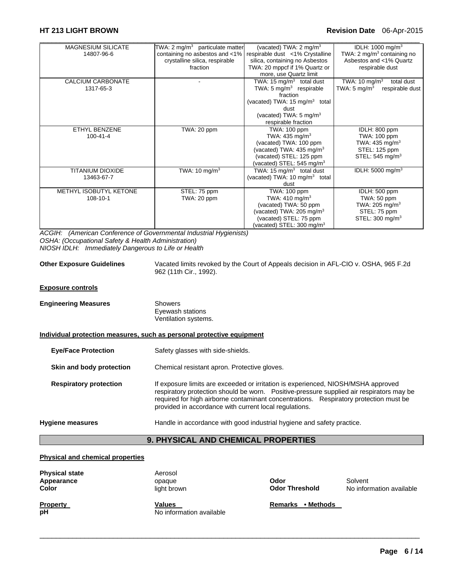# **HT 213 LIGHT BROWN Revision Date** 06-Apr-2015

| <b>MAGNESIUM SILICATE</b> | TWA: $2 \text{ mg/m}^3$ particulate matter | (vacated) TWA: $2 \text{ mg/m}^3$         | IDLH: 1000 mg/m <sup>3</sup>                |
|---------------------------|--------------------------------------------|-------------------------------------------|---------------------------------------------|
| 14807-96-6                | containing no asbestos and <1%             | respirable dust <1% Crystalline           | TWA: 2 mg/m <sup>3</sup> containing no      |
|                           | crystalline silica, respirable             | silica, containing no Asbestos            | Asbestos and <1% Quartz                     |
|                           | fraction                                   | TWA: 20 mppcf if 1% Quartz or             | respirable dust                             |
|                           |                                            | more, use Quartz limit                    |                                             |
| CALCIUM CARBONATE         |                                            | TWA: 15 $mg/m3$ total dust                | TWA: 10 mg/m <sup>3</sup><br>total dust     |
| 1317-65-3                 |                                            | TWA: 5 $mg/m3$ respirable                 | TWA: 5 mg/m <sup>3</sup><br>respirable dust |
|                           |                                            | fraction                                  |                                             |
|                           |                                            | (vacated) TWA: 15 mg/m <sup>3</sup> total |                                             |
|                           |                                            | dust                                      |                                             |
|                           |                                            | (vacated) TWA: $5 \text{ mg/m}^3$         |                                             |
|                           |                                            | respirable fraction                       |                                             |
| ETHYL BENZENE             | TWA: 20 ppm                                | <b>TWA: 100 ppm</b>                       | IDLH: 800 ppm                               |
| $100 - 41 - 4$            |                                            | TWA: $435 \text{ mg/m}^3$                 | TWA: 100 ppm                                |
|                           |                                            | (vacated) TWA: 100 ppm                    | TWA: 435 mg/m <sup>3</sup>                  |
|                           |                                            | (vacated) TWA: 435 mg/m <sup>3</sup>      | STEL: 125 ppm                               |
|                           |                                            | (vacated) STEL: 125 ppm                   | STEL: 545 mg/m <sup>3</sup>                 |
|                           |                                            | (vacated) STEL: 545 mg/m <sup>3</sup>     |                                             |
| <b>TITANIUM DIOXIDE</b>   | TWA: 10 mg/m $3$                           | TWA: 15 mg/m <sup>3</sup> total dust      | IDLH: 5000 mg/m <sup>3</sup>                |
| 13463-67-7                |                                            | (vacated) TWA: $10 \text{ mg/m}^3$ total  |                                             |
|                           |                                            | dust                                      |                                             |
| METHYL ISOBUTYL KETONE    | STEL: 75 ppm                               | TWA: 100 ppm                              | IDLH: 500 ppm                               |
| $108 - 10 - 1$            | TWA: 20 ppm                                | TWA: $410 \text{ mg/m}^3$                 | TWA: 50 ppm                                 |
|                           |                                            | (vacated) TWA: 50 ppm                     | TWA: 205 mg/m <sup>3</sup>                  |
|                           |                                            | (vacated) TWA: 205 mg/m <sup>3</sup>      | STEL: 75 ppm                                |
|                           |                                            | (vacated) STEL: 75 ppm                    | STEL: $300 \text{ mg/m}^3$                  |
|                           |                                            | (vacated) STEL: 300 mg/m <sup>3</sup>     |                                             |

*ACGIH: (American Conference of Governmental Industrial Hygienists) OSHA: (Occupational Safety & Health Administration) NIOSH IDLH: Immediately Dangerous to Life or Health* 

**Other Exposure Guidelines** Vacated limits revoked by the Court of Appeals decision in AFL-CIO v. OSHA, 965 F.2d 962 (11th Cir., 1992). **Exposure controls Engineering Measures** Showers Eyewash stations Ventilation systems. **Individual protection measures, such as personal protective equipment Eye/Face Protection** Safety glasses with side-shields. **Skin and body protection** Chemical resistant apron. Protective gloves. **Respiratory protection** If exposure limits are exceeded or irritation is experienced, NIOSH/MSHA approved respiratory protection should be worn. Positive-pressure supplied air respirators may be required for high airborne contaminant concentrations. Respiratory protection must be provided in accordance with current local regulations. **Hygiene measures** Handle in accordance with good industrial hygiene and safety practice. **9. PHYSICAL AND CHEMICAL PROPERTIES** 

#### **Physical and chemical properties**

| <b>Physical state</b><br>Appearance<br>Color | Aerosol<br>opaque<br>light brown | Odor<br><b>Odor Threshold</b> | Solvent<br>No information available |
|----------------------------------------------|----------------------------------|-------------------------------|-------------------------------------|
| <b>Property</b>                              | <b>Values</b>                    | • Methods                     |                                     |
| pH                                           | No information available         | Remarks                       |                                     |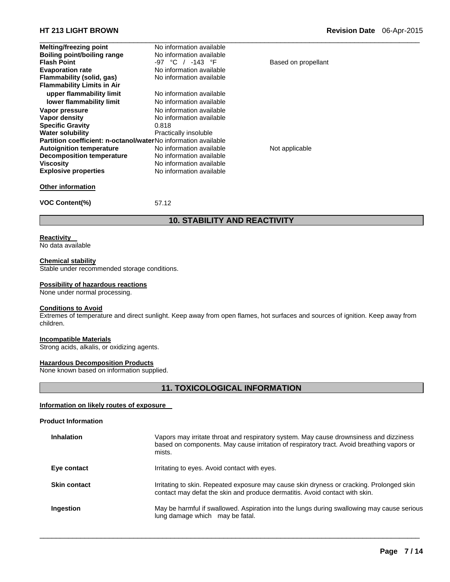| <b>Melting/freezing point</b>                                  | No information available |                     |  |
|----------------------------------------------------------------|--------------------------|---------------------|--|
| Boiling point/boiling range                                    | No information available |                     |  |
| <b>Flash Point</b>                                             | -97 °C / -143 °F         | Based on propellant |  |
| <b>Evaporation rate</b>                                        | No information available |                     |  |
| Flammability (solid, gas)                                      | No information available |                     |  |
| <b>Flammability Limits in Air</b>                              |                          |                     |  |
| upper flammability limit                                       | No information available |                     |  |
| lower flammability limit                                       | No information available |                     |  |
| Vapor pressure                                                 | No information available |                     |  |
| Vapor density                                                  | No information available |                     |  |
| <b>Specific Gravity</b>                                        | 0.818                    |                     |  |
| <b>Water solubility</b>                                        | Practically insoluble    |                     |  |
| Partition coefficient: n-octanol/waterNo information available |                          |                     |  |
| <b>Autoignition temperature</b>                                | No information available | Not applicable      |  |
| <b>Decomposition temperature</b>                               | No information available |                     |  |
| <b>Viscosity</b>                                               | No information available |                     |  |
| <b>Explosive properties</b>                                    | No information available |                     |  |
| <b>Other information</b>                                       |                          |                     |  |
| <b>VOC Content(%)</b>                                          | 57.12                    |                     |  |
| <b>10. STABILITY AND REACTIVITY</b>                            |                          |                     |  |

### **Reactivity**

No data available

#### **Chemical stability**

Stable under recommended storage conditions.

#### **Possibility of hazardous reactions**

None under normal processing.

# **Conditions to Avoid**

Extremes of temperature and direct sunlight. Keep away from open flames, hot surfaces and sources of ignition. Keep away from children.

### **Incompatible Materials**

Strong acids, alkalis, or oxidizing agents.

### **Hazardous Decomposition Products**

None known based on information supplied.

# **11. TOXICOLOGICAL INFORMATION**

### **Information on likely routes of exposure**

#### **Product Information**

| <b>Inhalation</b>   | Vapors may irritate throat and respiratory system. May cause drownsiness and dizziness<br>based on components. May cause irritation of respiratory tract. Avoid breathing vapors or<br>mists. |
|---------------------|-----------------------------------------------------------------------------------------------------------------------------------------------------------------------------------------------|
| Eye contact         | Irritating to eyes. Avoid contact with eyes.                                                                                                                                                  |
| <b>Skin contact</b> | Irritating to skin. Repeated exposure may cause skin dryness or cracking. Prolonged skin<br>contact may defat the skin and produce dermatitis. Avoid contact with skin.                       |
| Ingestion           | May be harmful if swallowed. Aspiration into the lungs during swallowing may cause serious<br>lung damage which may be fatal.                                                                 |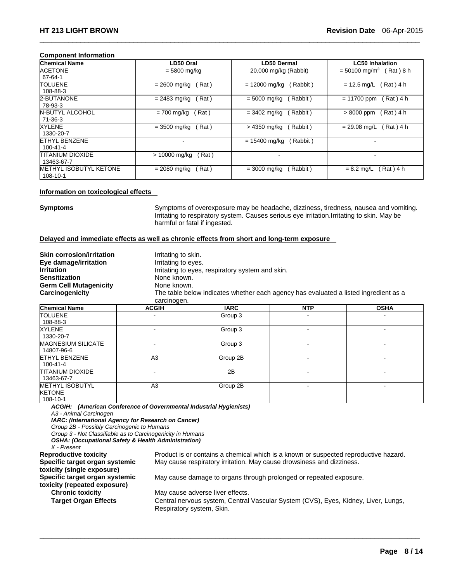#### **Component Information**

| <b>Chemical Name</b>          | LD50 Oral              | LD50 Dermal                          | <b>LC50 Inhalation</b>                  |
|-------------------------------|------------------------|--------------------------------------|-----------------------------------------|
| <b>ACETONE</b>                | $= 5800$ mg/kg         | 20,000 mg/kg (Rabbit)                | $= 50100$ mg/m <sup>3</sup><br>Rat) 8 h |
| 67-64-1                       |                        |                                      |                                         |
| <b>TOLUENE</b>                | Rat)<br>$= 2600$ mg/kg | $= 12000$ mg/kg<br>Rabbit)           | (Rat) 4 h<br>$= 12.5$ mg/L              |
| 108-88-3                      |                        |                                      |                                         |
| 2-BUTANONE                    | $= 2483$ mg/kg<br>Rat) | (Rabbit)<br>$= 5000 \; \text{mq/kg}$ | $= 11700$ ppm<br>Rat) 4 h               |
| 78-93-3                       |                        |                                      |                                         |
| <b>N-BUTYL ALCOHOL</b>        | Rat)<br>= 700 mg/kg    | (Rabbit)<br>$= 3402$ mg/kg           | Rat) 4 h<br>$>8000$ ppm                 |
| 71-36-3                       |                        |                                      |                                         |
| <b>XYLENE</b>                 | Rat)<br>$= 3500$ mg/kg | (Rabbit)<br>> 4350 mg/kg             | Rat ) 4 h<br>$= 29.08$ mg/L             |
| 1330-20-7                     |                        |                                      |                                         |
| <b>ETHYL BENZENE</b>          |                        | $= 15400$ mg/kg<br>Rabbit)           |                                         |
| 100-41-4                      |                        |                                      |                                         |
| <b>TITANIUM DIOXIDE</b>       | Rat)<br>> 10000 mg/kg  |                                      |                                         |
| 13463-67-7                    |                        |                                      |                                         |
| <b>METHYL ISOBUTYL KETONE</b> | Rat)<br>$= 2080$ mg/kg | (Rabbit)<br>$= 3000$ mg/kg           | Rat ) 4 h<br>$= 8.2$ mg/L               |
| 108-10-1                      |                        |                                      |                                         |

 $\Box$ 

#### **Information on toxicological effects**

**Symptoms** Symptoms of overexposure may be headache, dizziness, tiredness, nausea and vomiting. Irritating to respiratory system. Causes serious eye irritation.Irritating to skin. May be harmful or fatal if ingested.

#### **Delayed and immediate effects as well as chronic effects from short and long-term exposure**

| <b>Skin corrosion/irritation</b><br>Eye damage/irritation<br><b>Irritation</b><br><b>Sensitization</b> | Irritating to skin.<br>Irritating to eyes.<br>Irritating to eyes, respiratory system and skin.<br>None known.      |             |            |             |  |  |
|--------------------------------------------------------------------------------------------------------|--------------------------------------------------------------------------------------------------------------------|-------------|------------|-------------|--|--|
| <b>Germ Cell Mutagenicity</b><br>Carcinogenicity                                                       | None known.<br>The table below indicates whether each agency has evaluated a listed ingredient as a<br>carcinogen. |             |            |             |  |  |
| <b>Chemical Name</b>                                                                                   | <b>ACGIH</b>                                                                                                       | <b>IARC</b> | <b>NTP</b> | <b>OSHA</b> |  |  |
| <b>TOLUENE</b><br>108-88-3                                                                             |                                                                                                                    | Group 3     |            |             |  |  |
| <b>XYLENE</b><br>1330-20-7                                                                             | ٠                                                                                                                  | Group 3     |            |             |  |  |

| 1330-20-7                                    |    |          |   |  |
|----------------------------------------------|----|----------|---|--|
| <b>MAGNESIUM SILICATE</b><br>14807-96-6      |    | Group 3  |   |  |
| ETHYL BENZENE<br>100-41-4                    | A3 | Group 2B |   |  |
| TITANIUM DIOXIDE<br>13463-67-7               | -  | 2B       | - |  |
| METHYL ISOBUTYL<br><b>KETONE</b><br>108-10-1 | A3 | Group 2B |   |  |

 $\Box$ 

*ACGIH: (American Conference of Governmental Industrial Hygienists) A3 - Animal Carcinogen* 

*IARC: (International Agency for Research on Cancer)* 

*Group 2B - Possibly Carcinogenic to Humans* 

*Group 3 - Not Classifiable as to Carcinogenicity in Humans* 

*OSHA: (Occupational Safety & Health Administration)* 

*X - Present*  **Specific target organ systemic toxicity (single exposure) Specific target organ systemic toxicity (repeated exposure) Chronic toxicity May cause adverse liver effects.** 

Product is or contains a chemical which is a known or suspected reproductive hazard. May cause respiratory irritation. May cause drowsiness and dizziness.

May cause damage to organs through prolonged or repeated exposure.

**Target Organ Effects** Central nervous system, Central Vascular System (CVS), Eyes, Kidney, Liver, Lungs, Respiratory system, Skin.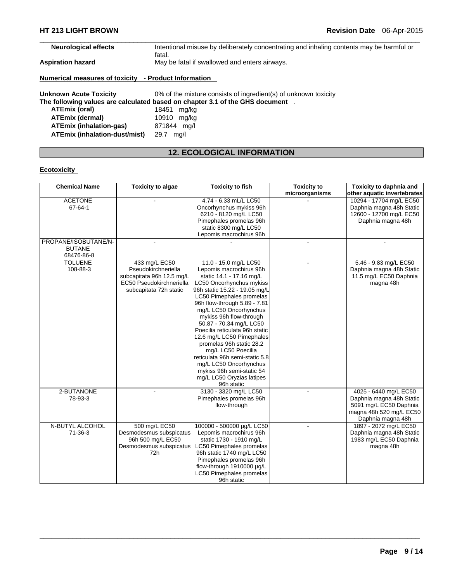**ATEmix (inhalation-gas)** 871844 mg/l **ATEmix (inhalation-dust/mist)** 29.7 mg/l

| <b>Neurological effects</b>                          | Intentional misuse by deliberately concentrating and inhaling contents may be harmful or<br>fatal. |
|------------------------------------------------------|----------------------------------------------------------------------------------------------------|
| Aspiration hazard                                    | May be fatal if swallowed and enters airways.                                                      |
| Numerical measures of toxicity - Product Information |                                                                                                    |
| <b>Unknown Acute Toxicity</b>                        | 0% of the mixture consists of ingredient(s) of unknown toxicity                                    |
|                                                      | The following values are calculated based on chapter 3.1 of the GHS document .                     |
| ATEmix (oral)                                        | 18451<br>mg/kg                                                                                     |
| <b>ATEmix (dermal)</b>                               | 10910 mg/kg                                                                                        |

 $\Box$ 

# **12. ECOLOGICAL INFORMATION**

# **Ecotoxicity**

| <b>Chemical Name</b>                                | <b>Toxicity to algae</b>                                                                                                | <b>Toxicity to fish</b>                                                                                                                                                                                                                                                                                                                                                                                                                                                                                                                    | <b>Toxicity to</b> | Toxicity to daphnia and                                                                                                     |
|-----------------------------------------------------|-------------------------------------------------------------------------------------------------------------------------|--------------------------------------------------------------------------------------------------------------------------------------------------------------------------------------------------------------------------------------------------------------------------------------------------------------------------------------------------------------------------------------------------------------------------------------------------------------------------------------------------------------------------------------------|--------------------|-----------------------------------------------------------------------------------------------------------------------------|
|                                                     |                                                                                                                         |                                                                                                                                                                                                                                                                                                                                                                                                                                                                                                                                            | microorganisms     | other aquatic invertebrates                                                                                                 |
| <b>ACETONE</b><br>67-64-1                           |                                                                                                                         | 4.74 - 6.33 mL/L LC50<br>Oncorhynchus mykiss 96h<br>6210 - 8120 mg/L LC50<br>Pimephales promelas 96h<br>static 8300 mg/L LC50<br>Lepomis macrochirus 96h                                                                                                                                                                                                                                                                                                                                                                                   |                    | 10294 - 17704 ma/L EC50<br>Daphnia magna 48h Static<br>12600 - 12700 mg/L EC50<br>Daphnia magna 48h                         |
| PROPANE/ISOBUTANE/N-<br><b>BUTANE</b><br>68476-86-8 | $\overline{a}$                                                                                                          |                                                                                                                                                                                                                                                                                                                                                                                                                                                                                                                                            | ÷.                 |                                                                                                                             |
| <b>TOLUENE</b><br>108-88-3                          | 433 mg/L EC50<br>Pseudokirchneriella<br>subcapitata 96h 12.5 mg/L<br>EC50 Pseudokirchneriella<br>subcapitata 72h static | 11.0 - 15.0 mg/L LC50<br>Lepomis macrochirus 96h<br>static 14.1 - 17.16 mg/L<br>LC50 Oncorhynchus mykiss<br>96h static 15.22 - 19.05 mg/L<br>LC50 Pimephales promelas<br>96h flow-through 5.89 - 7.81<br>mg/L LC50 Oncorhynchus<br>mykiss 96h flow-through<br>50.87 - 70.34 mg/L LC50<br>Poecilia reticulata 96h static<br>12.6 mg/L LC50 Pimephales<br>promelas 96h static 28.2<br>mg/L LC50 Poecilia<br>reticulata 96h semi-static 5.8<br>mg/L LC50 Oncorhynchus<br>mykiss 96h semi-static 54<br>mg/L LC50 Oryzias latipes<br>96h static | ÷                  | 5.46 - 9.83 mg/L EC50<br>Daphnia magna 48h Static<br>11.5 mg/L EC50 Daphnia<br>magna 48h                                    |
| 2-BUTANONE<br>78-93-3                               |                                                                                                                         | 3130 - 3320 mg/L LC50<br>Pimephales promelas 96h<br>flow-through                                                                                                                                                                                                                                                                                                                                                                                                                                                                           |                    | 4025 - 6440 mg/L EC50<br>Daphnia magna 48h Static<br>5091 mg/L EC50 Daphnia<br>magna 48h 520 mg/L EC50<br>Daphnia magna 48h |
| N-BUTYL ALCOHOL<br>71-36-3                          | 500 mg/L EC50<br>Desmodesmus subspicatus<br>96h 500 mg/L EC50<br>Desmodesmus subspicatus<br>72h                         | 100000 - 500000 µg/L LC50<br>Lepomis macrochirus 96h<br>static 1730 - 1910 mg/L<br>LC50 Pimephales promelas<br>96h static 1740 mg/L LC50<br>Pimephales promelas 96h<br>flow-through 1910000 µg/L<br>LC50 Pimephales promelas<br>96h static                                                                                                                                                                                                                                                                                                 |                    | 1897 - 2072 mg/L EC50<br>Daphnia magna 48h Static<br>1983 mg/L EC50 Daphnia<br>magna 48h                                    |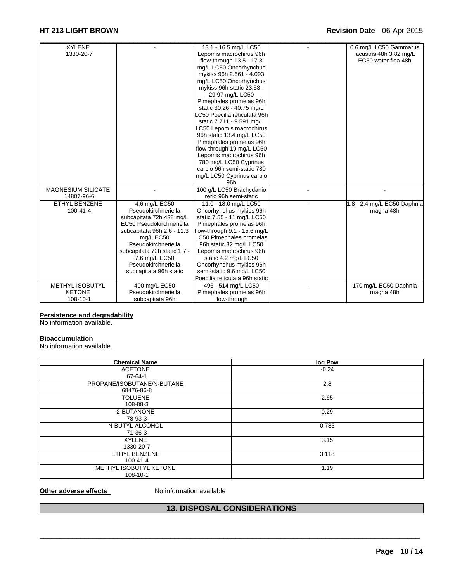# **HT 213 LIGHT BROWN Revision Date** 06-Apr-2015

| <b>XYLENE</b>             |                              | 13.1 - 16.5 mg/L LC50          | 0.6 mg/L LC50 Gammarus      |
|---------------------------|------------------------------|--------------------------------|-----------------------------|
| 1330-20-7                 |                              | Lepomis macrochirus 96h        | lacustris 48h 3.82 mg/L     |
|                           |                              | flow-through 13.5 - 17.3       | EC50 water flea 48h         |
|                           |                              | mg/L LC50 Oncorhynchus         |                             |
|                           |                              | mykiss 96h 2.661 - 4.093       |                             |
|                           |                              | mg/L LC50 Oncorhynchus         |                             |
|                           |                              | mykiss 96h static 23.53 -      |                             |
|                           |                              | 29.97 mg/L LC50                |                             |
|                           |                              | Pimephales promelas 96h        |                             |
|                           |                              | static 30.26 - 40.75 mg/L      |                             |
|                           |                              | LC50 Poecilia reticulata 96h   |                             |
|                           |                              | static 7.711 - 9.591 mg/L      |                             |
|                           |                              | LC50 Lepomis macrochirus       |                             |
|                           |                              | 96h static 13.4 mg/L LC50      |                             |
|                           |                              | Pimephales promelas 96h        |                             |
|                           |                              | flow-through 19 mg/L LC50      |                             |
|                           |                              | Lepomis macrochirus 96h        |                             |
|                           |                              | 780 mg/L LC50 Cyprinus         |                             |
|                           |                              | carpio 96h semi-static 780     |                             |
|                           |                              | mg/L LC50 Cyprinus carpio      |                             |
|                           |                              | 96h                            |                             |
| <b>MAGNESIUM SILICATE</b> |                              | 100 g/L LC50 Brachydanio       |                             |
| 14807-96-6                |                              | rerio 96h semi-static          |                             |
| ETHYL BENZENE             | 4.6 mg/L EC50                | 11.0 - 18.0 mg/L LC50          | 1.8 - 2.4 mg/L EC50 Daphnia |
| $100 - 41 - 4$            | Pseudokirchneriella          | Oncorhynchus mykiss 96h        | magna 48h                   |
|                           | subcapitata 72h 438 mg/L     | static 7.55 - 11 mg/L LC50     |                             |
|                           | EC50 Pseudokirchneriella     | Pimephales promelas 96h        |                             |
|                           | subcapitata 96h 2.6 - 11.3   | flow-through 9.1 - 15.6 mg/L   |                             |
|                           | mg/L EC50                    | LC50 Pimephales promelas       |                             |
|                           | Pseudokirchneriella          | 96h static 32 mg/L LC50        |                             |
|                           | subcapitata 72h static 1.7 - | Lepomis macrochirus 96h        |                             |
|                           | 7.6 mg/L EC50                | static 4.2 mg/L LC50           |                             |
|                           | Pseudokirchneriella          | Oncorhynchus mykiss 96h        |                             |
|                           | subcapitata 96h static       | semi-static 9.6 mg/L LC50      |                             |
|                           |                              | Poecilia reticulata 96h static |                             |
| <b>METHYL ISOBUTYL</b>    | 400 mg/L EC50                | 496 - 514 mg/L LC50            | 170 mg/L EC50 Daphnia       |
| <b>KETONE</b>             | Pseudokirchneriella          | Pimephales promelas 96h        | magna 48h                   |
| 108-10-1                  | subcapitata 96h              | flow-through                   |                             |

# **Persistence and degradability**

No information available.

#### **Bioaccumulation**

No information available.

| <b>Chemical Name</b>       | log Pow |
|----------------------------|---------|
| <b>ACETONE</b>             | $-0.24$ |
| 67-64-1                    |         |
| PROPANE/ISOBUTANE/N-BUTANE | 2.8     |
| 68476-86-8                 |         |
| <b>TOLUENE</b>             | 2.65    |
| 108-88-3                   |         |
| 2-BUTANONE                 | 0.29    |
| 78-93-3                    |         |
| N-BUTYL ALCOHOL            | 0.785   |
| 71-36-3                    |         |
| <b>XYLENE</b>              | 3.15    |
| 1330-20-7                  |         |
| ETHYL BENZENE              | 3.118   |
| 100-41-4                   |         |
| METHYL ISOBUTYL KETONE     | 1.19    |
| 108-10-1                   |         |

### **Other adverse effects** No information available

# **13. DISPOSAL CONSIDERATIONS**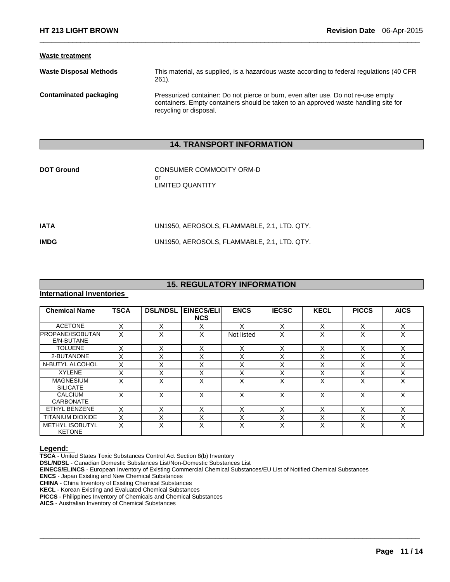#### **Waste treatment**

**Waste Disposal Methods** This material, as supplied, is a hazardous waste according to federal regulations (40 CFR 261).

 $\Box$ 

**Contaminated packaging** Pressurized container: Do not pierce or burn, even after use. Do not re-use empty containers. Empty containers should be taken to an approved waste handling site for recycling or disposal.

# **14. TRANSPORT INFORMATION**

| <b>DOT Ground</b> | CONSUMER COMMODITY ORM-D<br>or<br><b>LIMITED QUANTITY</b> |
|-------------------|-----------------------------------------------------------|
|                   |                                                           |

**IATA** UN1950, AEROSOLS, FLAMMABLE, 2.1, LTD. QTY.

**IMDG** UN1950, AEROSOLS, FLAMMABLE, 2.1, LTD. QTY.

# **15. REGULATORY INFORMATION**

#### **International Inventories**

| <b>Chemical Name</b>                    | <b>TSCA</b> | <b>DSL/NDSL</b> | <b>EINECS/ELI</b><br><b>NCS</b> | <b>ENCS</b>       | <b>IECSC</b>      | <b>KECL</b>      | <b>PICCS</b>      | <b>AICS</b> |
|-----------------------------------------|-------------|-----------------|---------------------------------|-------------------|-------------------|------------------|-------------------|-------------|
| <b>ACETONE</b>                          | X           | X               | X                               | x                 | X                 | X                | X                 | X           |
| <b>PROPANE/ISOBUTAN</b><br>E/N-BUTANE   | X           | X               | X                               | Not listed        | X                 | X                | X                 | Χ           |
| <b>TOLUENE</b>                          | х           | X               | X                               | X                 | X                 | x                | X                 | х           |
| 2-BUTANONE                              | ⋏           | X               | X                               | $\checkmark$<br>⋏ | X                 | X                | $\checkmark$<br>⌒ |             |
| N-BUTYL ALCOHOL                         | X           | X               | X                               | Χ                 | X                 | X                | $\checkmark$<br>⋏ | Χ           |
| <b>XYLENE</b>                           | ⋏           | $\check{ }$     | Χ                               | $\checkmark$<br>́ | X                 | x                | $\checkmark$      |             |
| <b>MAGNESIUM</b><br><b>SILICATE</b>     | X           | x               | X                               | X                 | X                 | X                | $\checkmark$<br>ㅅ | x           |
| <b>CALCIUM</b><br><b>CARBONATE</b>      | X           | X               | X                               | X                 | X                 | X                | X                 | X           |
| ETHYL BENZENE                           | X           | X               | X                               | X                 | X                 | X                | $\checkmark$<br>⌒ | Χ           |
| <b>TITANIUM DIOXIDE</b>                 | X           | X               | X                               | $\checkmark$<br>⋏ | $\checkmark$<br>ᄉ | $\check{ }$<br>v | $\checkmark$<br>⋏ |             |
| <b>METHYL ISOBUTYL</b><br><b>KETONE</b> | x           | x               | X                               | X                 | X                 | x                | $\checkmark$      |             |

 $\Box$ 

**Legend: TSCA** - United States Toxic Substances Control Act Section 8(b) Inventory

**DSL/NDSL** - Canadian Domestic Substances List/Non-Domestic Substances List

**EINECS/ELINCS** - European Inventory of Existing Commercial Chemical Substances/EU List of Notified Chemical Substances

**ENCS** - Japan Existing and New Chemical Substances

**CHINA** - China Inventory of Existing Chemical Substances

**KECL** - Korean Existing and Evaluated Chemical Substances

**PICCS** - Philippines Inventory of Chemicals and Chemical Substances

**AICS** - Australian Inventory of Chemical Substances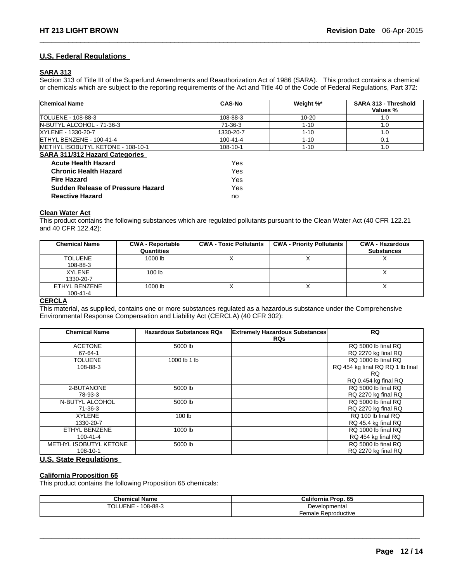### **U.S. Federal Regulations**

### **SARA 313**

Section 313 of Title III of the Superfund Amendments and Reauthorization Act of 1986 (SARA). This product contains a chemical or chemicals which are subject to the reporting requirements of the Act and Title 40 of the Code of Federal Regulations, Part 372:

 $\Box$ 

| <b>Chemical Name</b>                  | <b>CAS-No</b>  | Weight %* | SARA 313 - Threshold<br>Values % |
|---------------------------------------|----------------|-----------|----------------------------------|
| TOLUENE - 108-88-3                    | 108-88-3       | $10 - 20$ | 1.0                              |
| N-BUTYL ALCOHOL - 71-36-3             | 71-36-3        | $1 - 10$  | 1.0                              |
| XYLENE - 1330-20-7                    | 1330-20-7      | $1 - 10$  | 1.0                              |
| ETHYL BENZENE - 100-41-4              | 100-41-4       | $1 - 10$  | 0.1                              |
| METHYL ISOBUTYL KETONE - 108-10-1     | $108 - 10 - 1$ | $1 - 10$  | 1.0                              |
| <b>SARA 311/312 Hazard Categories</b> |                |           |                                  |
| <b>Acute Health Hazard</b>            | Yes            |           |                                  |
| <b>Chronic Health Hazard</b>          | Yes            |           |                                  |
| <b>Fire Hazard</b>                    | Yes            |           |                                  |
| Sudden Release of Pressure Hazard     | Yes            |           |                                  |
| <b>Reactive Hazard</b>                | no             |           |                                  |

#### **Clean Water Act**

This product contains the following substances which are regulated pollutants pursuant to the Clean Water Act (40 CFR 122.21 and 40 CFR 122.42):

| <b>Chemical Name</b>            | <b>CWA - Reportable</b><br>Quantities | <b>CWA - Toxic Pollutants</b> | <b>CWA - Priority Pollutants</b> | <b>CWA - Hazardous</b><br><b>Substances</b> |
|---------------------------------|---------------------------------------|-------------------------------|----------------------------------|---------------------------------------------|
| <b>TOLUENE</b><br>108-88-3      | 1000 lb                               |                               |                                  |                                             |
| <b>XYLENE</b><br>1330-20-7      | 100 <sub>1b</sub>                     |                               |                                  |                                             |
| ETHYL BENZENE<br>$100 - 41 - 4$ | 1000 lb                               |                               |                                  |                                             |

#### **CERCLA**

This material, as supplied, contains one or more substances regulated as a hazardous substance under the Comprehensive Environmental Response Compensation and Liability Act (CERCLA) (40 CFR 302):

| <b>Chemical Name</b>                      | <b>Hazardous Substances RQs</b> | <b>Extremely Hazardous Substances</b><br><b>RQs</b> | <b>RQ</b>                                                                              |
|-------------------------------------------|---------------------------------|-----------------------------------------------------|----------------------------------------------------------------------------------------|
| <b>ACETONE</b><br>67-64-1                 | 5000 lb                         |                                                     | RQ 5000 lb final RQ<br>RQ 2270 kg final RQ                                             |
| <b>TOLUENE</b><br>108-88-3                | 1000 lb 1 lb                    |                                                     | RQ 1000 lb final RQ<br>RQ 454 kg final RQ RQ 1 lb final<br>RQ.<br>RQ 0.454 kg final RQ |
| 2-BUTANONE<br>78-93-3                     | 5000 lb                         |                                                     | RQ 5000 lb final RQ<br>RQ 2270 kg final RQ                                             |
| N-BUTYL ALCOHOL<br>71-36-3                | 5000 lb                         |                                                     | RO 5000 lb final RO<br>RQ 2270 kg final RQ                                             |
| <b>XYLENE</b><br>1330-20-7                | 100 <sub>lb</sub>               |                                                     | RQ 100 lb final RQ<br>RQ 45.4 kg final RQ                                              |
| ETHYL BENZENE<br>$100 - 41 - 4$           | 1000 lb                         |                                                     | RQ 1000 lb final RQ<br>RQ 454 kg final RQ                                              |
| <b>METHYL ISOBUTYL KETONE</b><br>108-10-1 | 5000 lb                         |                                                     | RQ 5000 lb final RQ<br>RQ 2270 kg final RQ                                             |

# **U.S. State Regulations**

#### **California Proposition 65**

This product contains the following Proposition 65 chemicals:

| <b>Chemical Name</b>       | California Prop. 65 |  |  |
|----------------------------|---------------------|--|--|
| TOLUENE<br>$-108 - 88 - 3$ | Developmental       |  |  |
|                            | Female Reproductive |  |  |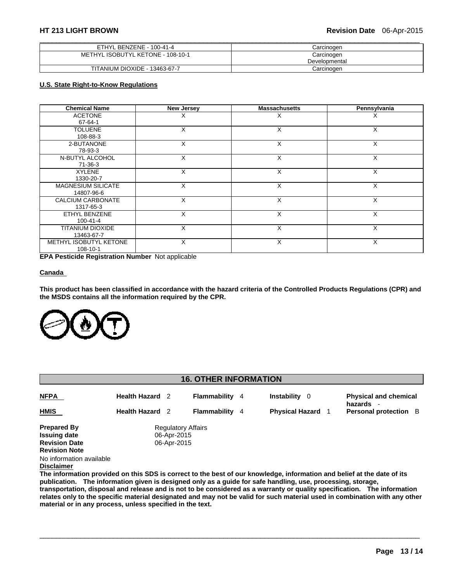| ETHYL BENZENE - 100-41-4          | Carcinoɑen    |
|-----------------------------------|---------------|
| METHYL ISOBUTYL KETONE - 108-10-1 | Carcinogen    |
|                                   | Developmental |
| TITANIUM DIOXIDE - 13463-67-7     | Carcinogen    |

# **U.S. State Right-to-Know Regulations**

| <b>Chemical Name</b>      | <b>New Jersey</b> | <b>Massachusetts</b> | Pennsylvania |  |
|---------------------------|-------------------|----------------------|--------------|--|
| <b>ACETONE</b>            | X                 | Х                    | х            |  |
| 67-64-1                   |                   |                      |              |  |
| <b>TOLUENE</b>            | X                 | X                    | X            |  |
| 108-88-3                  |                   |                      |              |  |
| 2-BUTANONE                | X                 | X                    | X            |  |
| 78-93-3                   |                   |                      |              |  |
| N-BUTYL ALCOHOL           | X                 | X                    | X            |  |
| $71-36-3$                 |                   |                      |              |  |
| <b>XYLENE</b>             | X                 | X                    | X            |  |
| 1330-20-7                 |                   |                      |              |  |
| <b>MAGNESIUM SILICATE</b> | X                 | X                    | X            |  |
| 14807-96-6                |                   |                      |              |  |
| CALCIUM CARBONATE         | X                 | X                    | X            |  |
| 1317-65-3                 |                   |                      |              |  |
| ETHYL BENZENE             | X                 | X                    | X            |  |
| $100 - 41 - 4$            |                   |                      |              |  |
| TITANIUM DIOXIDE          | X                 | X                    | X            |  |
| 13463-67-7                |                   |                      |              |  |
| METHYL ISOBUTYL KETONE    | X                 | X                    | X            |  |
| 108-10-1                  |                   |                      |              |  |

**EPA Pesticide Registration Number** Not applicable

#### **Canada**

**This product has been classified in accordance with the hazard criteria of the Controlled Products Regulations (CPR) and the MSDS contains all the information required by the CPR.** 



| <b>16. OTHER INFORMATION</b> |                        |                           |                       |  |                          |                                           |
|------------------------------|------------------------|---------------------------|-----------------------|--|--------------------------|-------------------------------------------|
| <b>NFPA</b>                  | <b>Health Hazard</b> 2 |                           | <b>Flammability</b> 4 |  | <b>Instability</b> 0     | <b>Physical and chemical</b><br>hazards - |
| <b>HMIS</b>                  | <b>Health Hazard</b> 2 |                           | <b>Flammability</b> 4 |  | <b>Physical Hazard</b> 1 | <b>Personal protection</b> B              |
| <b>Prepared By</b>           |                        | <b>Regulatory Affairs</b> |                       |  |                          |                                           |
| <b>Issuing date</b>          | 06-Apr-2015            |                           |                       |  |                          |                                           |
| <b>Revision Date</b>         |                        | 06-Apr-2015               |                       |  |                          |                                           |
| <b>Revision Note</b>         |                        |                           |                       |  |                          |                                           |
| No information available     |                        |                           |                       |  |                          |                                           |

**Disclaimer**

**The information provided on this SDS is correct to the best of our knowledge, information and belief at the date of its publication. The information given is designed only as a guide for safe handling, use, processing, storage, transportation, disposal and release and is not to be considered as a warranty or quality specification. The information relates only to the specific material designated and may not be valid for such material used in combination with any other material or in any process, unless specified in the text.**